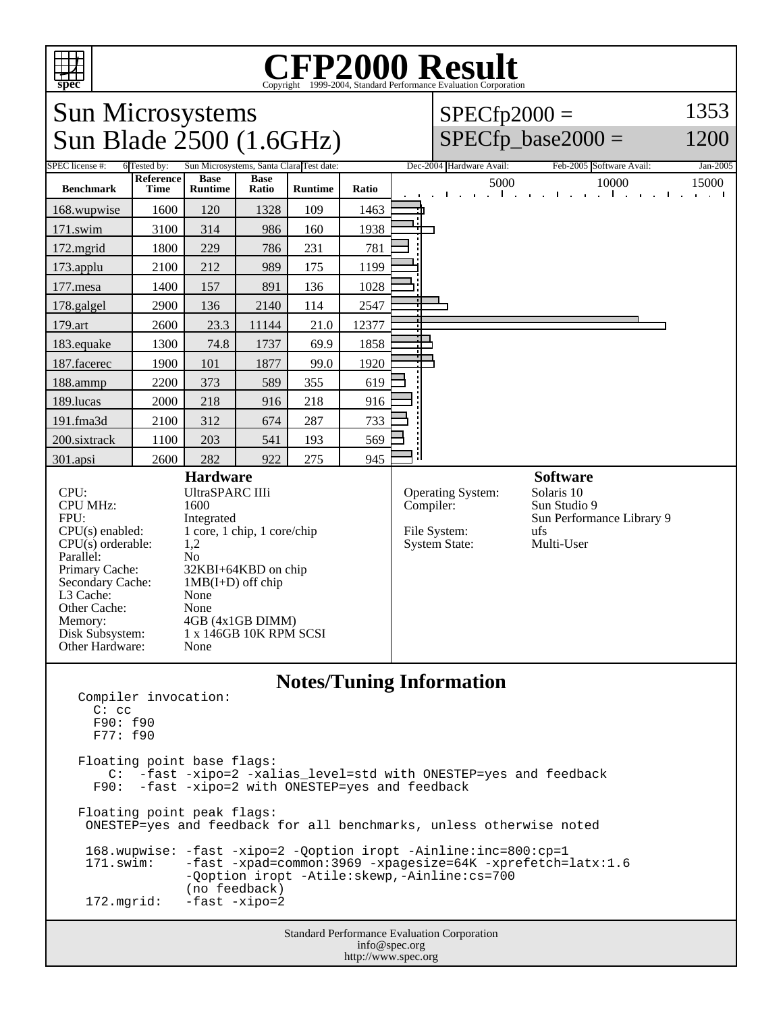

# Copyright ©1999-2004, Standard Performance Evaluation Corporation

Sun Microsystems Sun Blade 2500 (1.6GHz)

#### $SPECfp2000 =$ 1353 1200

## $SPECfp\_base2000 =$

SPEC license #: 6 Tested by: Sun Microsystems, Santa Clara Test date: Dec-2004 Hardware Avail: Feb-2005 Software Avail: Jan-2005 **Benchmark Reference Time Base Runtime Base**<br>**Ratio Runtime Ratio Ratio** 5000 10000 15000 168.wupwise 1600 120 1328 109 1463 171.swim | 3100 | 314 | 986 | 160 | 1938 172.mgrid 1800 229 786 231 781 173.applu | 2100 | 212 | 989 | 175 | 1199 177. mesa | 1400 | 157 | 891 | 136 | 1028 178.galgel | 2900 | 136 | 2140 | 114 | 2547 179.art 2600 23.3 11144 21.0 12377 183.equake 1300 74.8 1737 69.9 1858 187.facerec | 1900 | 101 | 1877 | 99.0 | 1920 188.ammp | 2200 | 373 | 589 | 355 | 619 189.lucas | 2000 | 218 | 916 | 218 | 916 191.fma3d 2100 312 674 287 733 200.sixtrack 1100 203 541 193 569 301.apsi | 2600 | 282 | 922 | 275 | 945 **Hardware** CPU: UltraSPARC IIIi<br>CPU MHz: 1600 CPU MHz: FPU: Integrated  $CPU(s)$  enabled:  $1 core, 1 chip, 1 core/chip$ <br> $CPU(s)$  orderable:  $1.2$  $CPU(s)$  orderable: Parallel: No<br>Primary Cache: 32F 32KBI+64KBD on chip Secondary Cache:  $1MB(I+D)$  off chip<br>
1.3 Cache: None  $L3$  Cache: Other Cache: None Memory: 4GB (4x1GB DIMM) Disk Subsystem: 1 x 146GB 10K RPM SCSI Other Hardware: None **Software** Operating System: Solaris 10<br>Compiler: Sun Studio Sun Studio 9 Sun Performance Library 9 File System: ufs<br>System State: Multi-User System State:

### **Notes/Tuning Information**

Compiler invocation: C: cc F90: f90 F77: f90 Floating point base flags: C: -fast -xipo=2 -xalias\_level=std with ONESTEP=yes and feedback F90: -fast -xipo=2 with ONESTEP=yes and feedback Floating point peak flags: ONESTEP=yes and feedback for all benchmarks, unless otherwise noted 168.wupwise: -fast -xipo=2 -Qoption iropt -Ainline:inc=800:cp=1<br>171.swim: -fast -xpad=common:3969 -xpagesize=64K -xprefetch= -fast -xpad=common:3969 -xpagesize=64K -xprefetch=latx:1.6 -Qoption iropt -Atile:skewp,-Ainline:cs=700 (no feedback)<br>172.mqrid: -fast -xipo=2 -fast -xipo=2

Standard Performance Evaluation Corporation info@spec.org http://www.spec.org